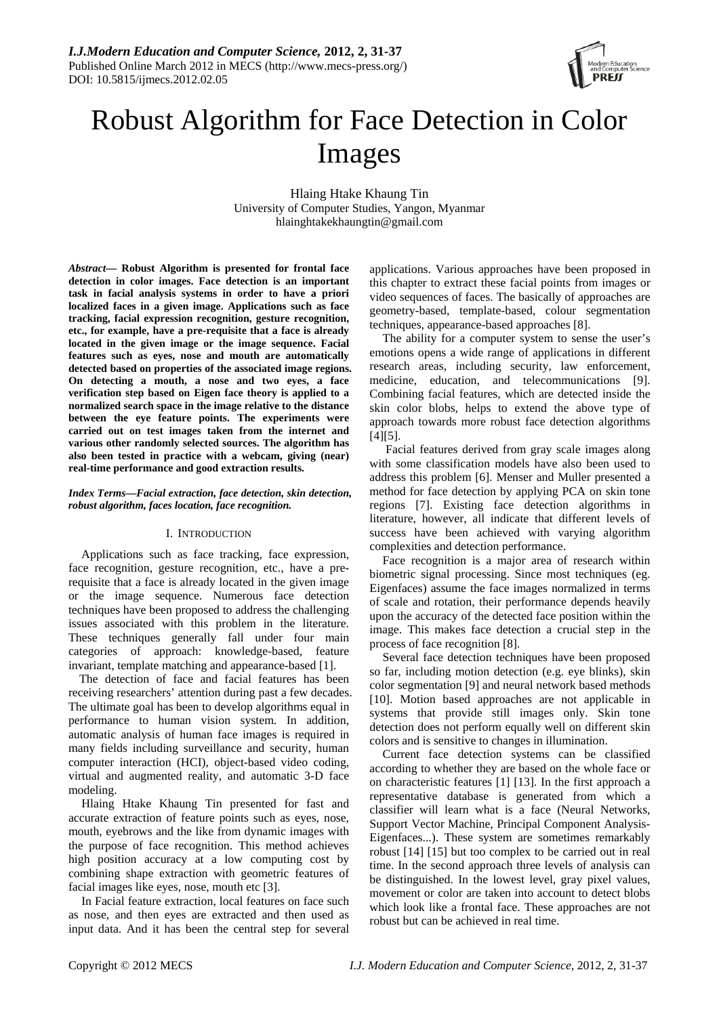

# Robust Algorithm for Face Detection in Color Images

Hlaing Htake Khaung Tin University of Computer Studies, Yangon, Myanmar hlainghtakekhaungtin@gmail.com

*Abstract***— Robust Algorithm is presented for frontal face detection in color images. Face detection is an important task in facial analysis systems in order to have a priori localized faces in a given image. Applications such as face tracking, facial expression recognition, gesture recognition, etc., for example, have a pre-requisite that a face is already located in the given image or the image sequence. Facial features such as eyes, nose and mouth are automatically detected based on properties of the associated image regions. On detecting a mouth, a nose and two eyes, a face verification step based on Eigen face theory is applied to a normalized search space in the image relative to the distance between the eye feature points. The experiments were carried out on test images taken from the internet and various other randomly selected sources. The algorithm has also been tested in practice with a webcam, giving (near) real-time performance and good extraction results.** 

### *Index Terms***—***Facial extraction, face detection, skin detection, robust algorithm, faces location, face recognition.*

### I. INTRODUCTION

Applications such as face tracking, face expression, face recognition, gesture recognition, etc., have a prerequisite that a face is already located in the given image or the image sequence. Numerous face detection techniques have been proposed to address the challenging issues associated with this problem in the literature. These techniques generally fall under four main categories of approach: knowledge-based, feature invariant, template matching and appearance-based [1].

The detection of face and facial features has been receiving researchers' attention during past a few decades. The ultimate goal has been to develop algorithms equal in performance to human vision system. In addition, automatic analysis of human face images is required in many fields including surveillance and security, human computer interaction (HCI), object-based video coding, virtual and augmented reality, and automatic 3-D face modeling.

Hlaing Htake Khaung Tin presented for fast and accurate extraction of feature points such as eyes, nose, mouth, eyebrows and the like from dynamic images with the purpose of face recognition. This method achieves high position accuracy at a low computing cost by combining shape extraction with geometric features of facial images like eyes, nose, mouth etc [3].

In Facial feature extraction, local features on face such as nose, and then eyes are extracted and then used as input data. And it has been the central step for several applications. Various approaches have been proposed in this chapter to extract these facial points from images or video sequences of faces. The basically of approaches are geometry-based, template-based, colour segmentation techniques, appearance-based approaches [8].

The ability for a computer system to sense the user's emotions opens a wide range of applications in different research areas, including security, law enforcement, medicine, education, and telecommunications [9]. Combining facial features, which are detected inside the skin color blobs, helps to extend the above type of approach towards more robust face detection algorithms [4][5].

 Facial features derived from gray scale images along with some classification models have also been used to address this problem [6]. Menser and Muller presented a method for face detection by applying PCA on skin tone regions [7]. Existing face detection algorithms in literature, however, all indicate that different levels of success have been achieved with varying algorithm complexities and detection performance.

Face recognition is a major area of research within biometric signal processing. Since most techniques (eg. Eigenfaces) assume the face images normalized in terms of scale and rotation, their performance depends heavily upon the accuracy of the detected face position within the image. This makes face detection a crucial step in the process of face recognition [8].

Several face detection techniques have been proposed so far, including motion detection (e.g. eye blinks), skin color segmentation [9] and neural network based methods [10]. Motion based approaches are not applicable in systems that provide still images only. Skin tone detection does not perform equally well on different skin colors and is sensitive to changes in illumination.

Current face detection systems can be classified according to whether they are based on the whole face or on characteristic features [1] [13]. In the first approach a representative database is generated from which a classifier will learn what is a face (Neural Networks, Support Vector Machine, Principal Component Analysis-Eigenfaces...). These system are sometimes remarkably robust [14] [15] but too complex to be carried out in real time. In the second approach three levels of analysis can be distinguished. In the lowest level, gray pixel values, movement or color are taken into account to detect blobs which look like a frontal face. These approaches are not robust but can be achieved in real time.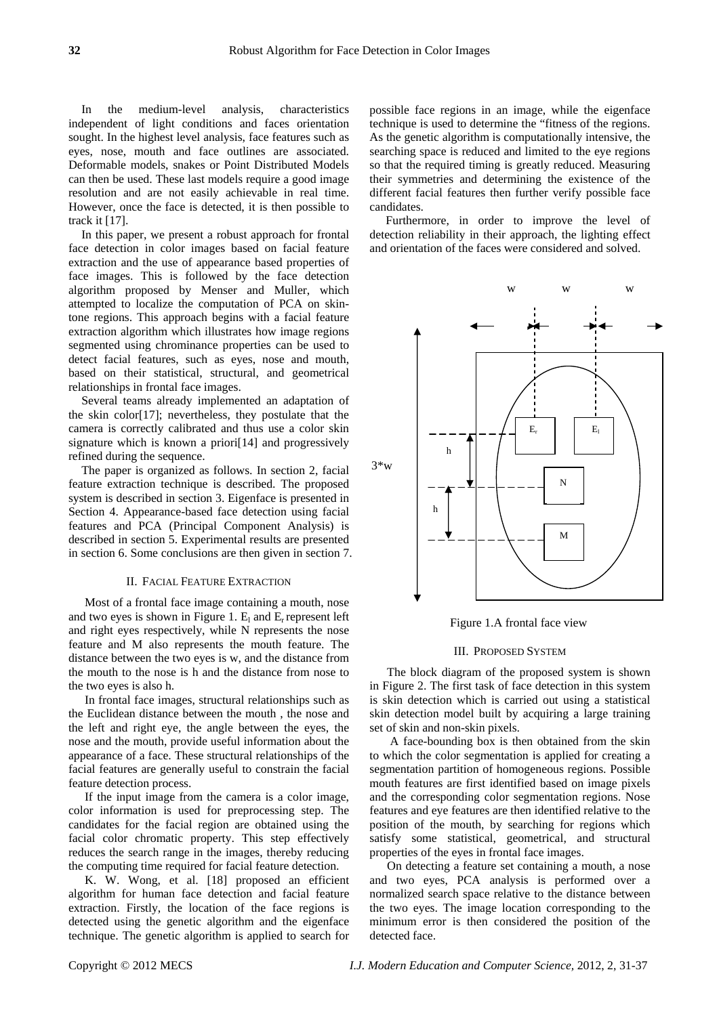In the medium-level analysis, characteristics independent of light conditions and faces orientation sought. In the highest level analysis, face features such as eyes, nose, mouth and face outlines are associated. Deformable models, snakes or Point Distributed Models can then be used. These last models require a good image resolution and are not easily achievable in real time. However, once the face is detected, it is then possible to track it [17].

In this paper, we present a robust approach for frontal face detection in color images based on facial feature extraction and the use of appearance based properties of face images. This is followed by the face detection algorithm proposed by Menser and Muller, which attempted to localize the computation of PCA on skintone regions. This approach begins with a facial feature extraction algorithm which illustrates how image regions segmented using chrominance properties can be used to detect facial features, such as eyes, nose and mouth, based on their statistical, structural, and geometrical relationships in frontal face images.

Several teams already implemented an adaptation of the skin color[17]; nevertheless, they postulate that the camera is correctly calibrated and thus use a color skin signature which is known a priori[14] and progressively refined during the sequence.

The paper is organized as follows. In section 2, facial feature extraction technique is described. The proposed system is described in section 3. Eigenface is presented in Section 4. Appearance-based face detection using facial features and PCA (Principal Component Analysis) is described in section 5. Experimental results are presented in section 6. Some conclusions are then given in section 7.

#### II. FACIAL FEATURE EXTRACTION

Most of a frontal face image containing a mouth, nose and two eyes is shown in Figure 1.  $E_1$  and  $E_r$  represent left and right eyes respectively, while N represents the nose feature and M also represents the mouth feature. The distance between the two eyes is w, and the distance from the mouth to the nose is h and the distance from nose to the two eyes is also h.

In frontal face images, structural relationships such as the Euclidean distance between the mouth , the nose and the left and right eye, the angle between the eyes, the nose and the mouth, provide useful information about the appearance of a face. These structural relationships of the facial features are generally useful to constrain the facial feature detection process.

If the input image from the camera is a color image, color information is used for preprocessing step. The candidates for the facial region are obtained using the facial color chromatic property. This step effectively reduces the search range in the images, thereby reducing the computing time required for facial feature detection.

K. W. Wong, et al. [18] proposed an efficient algorithm for human face detection and facial feature extraction. Firstly, the location of the face regions is detected using the genetic algorithm and the eigenface technique. The genetic algorithm is applied to search for

possible face regions in an image, while the eigenface technique is used to determine the "fitness of the regions. As the genetic algorithm is computationally intensive, the searching space is reduced and limited to the eye regions so that the required timing is greatly reduced. Measuring their symmetries and determining the existence of the different facial features then further verify possible face candidates.

Furthermore, in order to improve the level of detection reliability in their approach, the lighting effect and orientation of the faces were considered and solved.



Figure 1.A frontal face view

#### III. PROPOSED SYSTEM

The block diagram of the proposed system is shown in Figure 2. The first task of face detection in this system is skin detection which is carried out using a statistical skin detection model built by acquiring a large training set of skin and non-skin pixels.

 A face-bounding box is then obtained from the skin to which the color segmentation is applied for creating a segmentation partition of homogeneous regions. Possible mouth features are first identified based on image pixels and the corresponding color segmentation regions. Nose features and eye features are then identified relative to the position of the mouth, by searching for regions which satisfy some statistical, geometrical, and structural properties of the eyes in frontal face images.

On detecting a feature set containing a mouth, a nose and two eyes, PCA analysis is performed over a normalized search space relative to the distance between the two eyes. The image location corresponding to the minimum error is then considered the position of the detected face.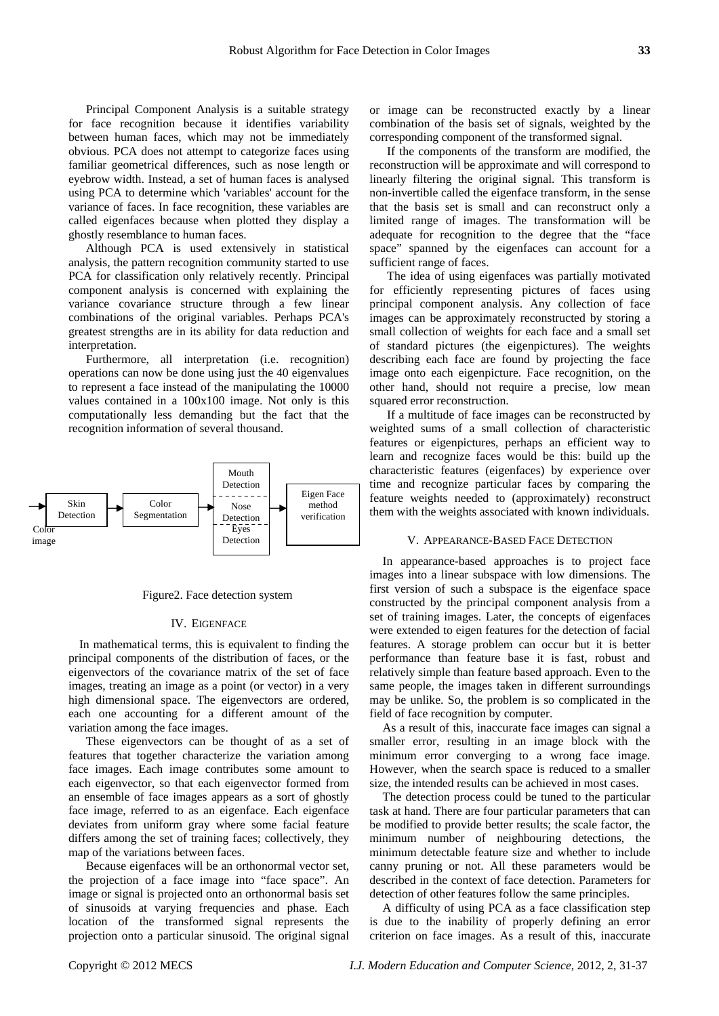Principal Component Analysis is a suitable strategy for face recognition because it identifies variability between human faces, which may not be immediately obvious. PCA does not attempt to categorize faces using familiar geometrical differences, such as nose length or eyebrow width. Instead, a set of human faces is analysed using PCA to determine which 'variables' account for the variance of faces. In face recognition, these variables are called eigenfaces because when plotted they display a ghostly resemblance to human faces.

Although PCA is used extensively in statistical analysis, the pattern recognition community started to use PCA for classification only relatively recently. Principal component analysis is concerned with explaining the variance covariance structure through a few linear combinations of the original variables. Perhaps PCA's greatest strengths are in its ability for data reduction and interpretation.

Furthermore, all interpretation (i.e. recognition) operations can now be done using just the 40 eigenvalues to represent a face instead of the manipulating the 10000 values contained in a 100x100 image. Not only is this computationally less demanding but the fact that the recognition information of several thousand.



#### Figure2. Face detection system

#### IV. EIGENFACE

In mathematical terms, this is equivalent to finding the principal components of the distribution of faces, or the eigenvectors of the covariance matrix of the set of face images, treating an image as a point (or vector) in a very high dimensional space. The eigenvectors are ordered, each one accounting for a different amount of the variation among the face images.

These eigenvectors can be thought of as a set of features that together characterize the variation among face images. Each image contributes some amount to each eigenvector, so that each eigenvector formed from an ensemble of face images appears as a sort of ghostly face image, referred to as an eigenface. Each eigenface deviates from uniform gray where some facial feature differs among the set of training faces; collectively, they map of the variations between faces.

Because eigenfaces will be an orthonormal vector set, the projection of a face image into "face space". An image or signal is projected onto an orthonormal basis set of sinusoids at varying frequencies and phase. Each location of the transformed signal represents the projection onto a particular sinusoid. The original signal

or image can be reconstructed exactly by a linear combination of the basis set of signals, weighted by the corresponding component of the transformed signal.

If the components of the transform are modified, the reconstruction will be approximate and will correspond to linearly filtering the original signal. This transform is non-invertible called the eigenface transform, in the sense that the basis set is small and can reconstruct only a limited range of images. The transformation will be adequate for recognition to the degree that the "face space" spanned by the eigenfaces can account for a sufficient range of faces.

The idea of using eigenfaces was partially motivated for efficiently representing pictures of faces using principal component analysis. Any collection of face images can be approximately reconstructed by storing a small collection of weights for each face and a small set of standard pictures (the eigenpictures). The weights describing each face are found by projecting the face image onto each eigenpicture. Face recognition, on the other hand, should not require a precise, low mean squared error reconstruction.

If a multitude of face images can be reconstructed by weighted sums of a small collection of characteristic features or eigenpictures, perhaps an efficient way to learn and recognize faces would be this: build up the characteristic features (eigenfaces) by experience over time and recognize particular faces by comparing the feature weights needed to (approximately) reconstruct them with the weights associated with known individuals.

In appearance-based approaches is to project face images into a linear subspace with low dimensions. The first version of such a subspace is the eigenface space constructed by the principal component analysis from a set of training images. Later, the concepts of eigenfaces were extended to eigen features for the detection of facial features. A storage problem can occur but it is better performance than feature base it is fast, robust and relatively simple than feature based approach. Even to the same people, the images taken in different surroundings may be unlike. So, the problem is so complicated in the field of face recognition by computer.

As a result of this, inaccurate face images can signal a smaller error, resulting in an image block with the minimum error converging to a wrong face image. However, when the search space is reduced to a smaller size, the intended results can be achieved in most cases.

The detection process could be tuned to the particular task at hand. There are four particular parameters that can be modified to provide better results; the scale factor, the minimum number of neighbouring detections, the minimum detectable feature size and whether to include canny pruning or not. All these parameters would be described in the context of face detection. Parameters for detection of other features follow the same principles.

A difficulty of using PCA as a face classification step is due to the inability of properly defining an error criterion on face images. As a result of this, inaccurate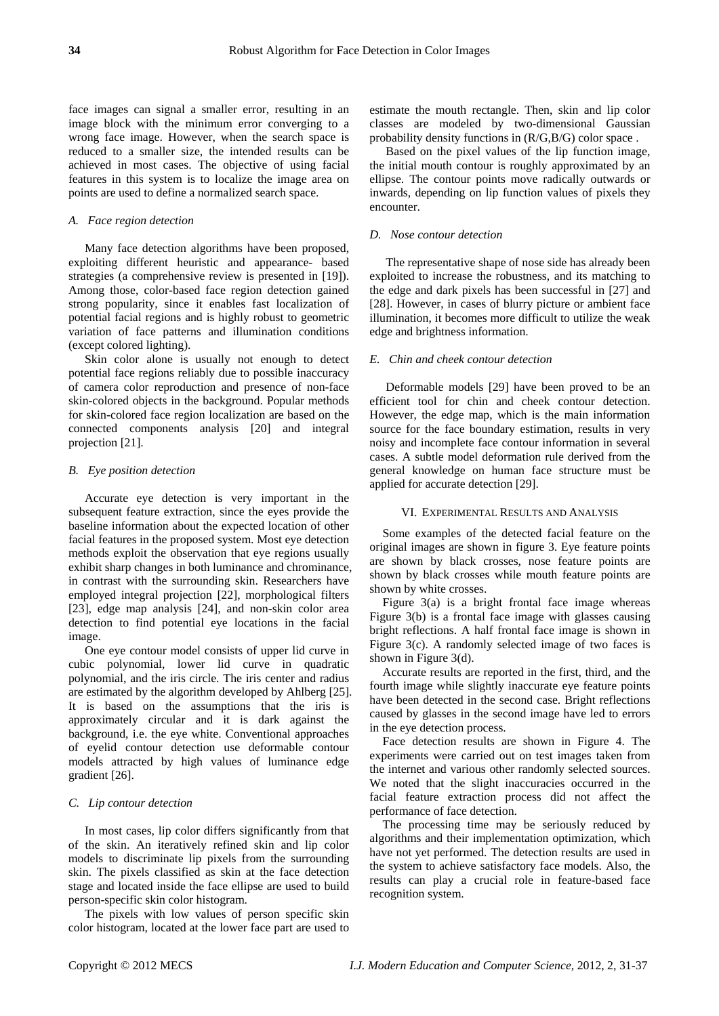face images can signal a smaller error, resulting in an image block with the minimum error converging to a wrong face image. However, when the search space is reduced to a smaller size, the intended results can be achieved in most cases. The objective of using facial features in this system is to localize the image area on points are used to define a normalized search space.

#### *A. Face region detection*

Many face detection algorithms have been proposed, exploiting different heuristic and appearance- based strategies (a comprehensive review is presented in [19]). Among those, color-based face region detection gained strong popularity, since it enables fast localization of potential facial regions and is highly robust to geometric variation of face patterns and illumination conditions (except colored lighting).

Skin color alone is usually not enough to detect potential face regions reliably due to possible inaccuracy of camera color reproduction and presence of non-face skin-colored objects in the background. Popular methods for skin-colored face region localization are based on the connected components analysis [20] and integral projection [21].

#### *B. Eye position detection*

Accurate eye detection is very important in the subsequent feature extraction, since the eyes provide the baseline information about the expected location of other facial features in the proposed system. Most eye detection methods exploit the observation that eye regions usually exhibit sharp changes in both luminance and chrominance, in contrast with the surrounding skin. Researchers have employed integral projection [22], morphological filters [23], edge map analysis [24], and non-skin color area detection to find potential eye locations in the facial image.

One eye contour model consists of upper lid curve in cubic polynomial, lower lid curve in quadratic polynomial, and the iris circle. The iris center and radius are estimated by the algorithm developed by Ahlberg [25]. It is based on the assumptions that the iris is approximately circular and it is dark against the background, i.e. the eye white. Conventional approaches of eyelid contour detection use deformable contour models attracted by high values of luminance edge gradient [26].

#### *C. Lip contour detection*

In most cases, lip color differs significantly from that of the skin. An iteratively refined skin and lip color models to discriminate lip pixels from the surrounding skin. The pixels classified as skin at the face detection stage and located inside the face ellipse are used to build person-specific skin color histogram.

The pixels with low values of person specific skin color histogram, located at the lower face part are used to

estimate the mouth rectangle. Then, skin and lip color classes are modeled by two-dimensional Gaussian probability density functions in (R/G,B/G) color space .

Based on the pixel values of the lip function image, the initial mouth contour is roughly approximated by an ellipse. The contour points move radically outwards or inwards, depending on lip function values of pixels they encounter.

# *D. Nose contour detection*

The representative shape of nose side has already been exploited to increase the robustness, and its matching to the edge and dark pixels has been successful in [27] and [28]. However, in cases of blurry picture or ambient face illumination, it becomes more difficult to utilize the weak edge and brightness information.

#### *E. Chin and cheek contour detection*

Deformable models [29] have been proved to be an efficient tool for chin and cheek contour detection. However, the edge map, which is the main information source for the face boundary estimation, results in very noisy and incomplete face contour information in several cases. A subtle model deformation rule derived from the general knowledge on human face structure must be applied for accurate detection [29].

#### VI. EXPERIMENTAL RESULTS AND ANALYSIS

Some examples of the detected facial feature on the original images are shown in figure 3. Eye feature points are shown by black crosses, nose feature points are shown by black crosses while mouth feature points are shown by white crosses.

Figure 3(a) is a bright frontal face image whereas Figure 3(b) is a frontal face image with glasses causing bright reflections. A half frontal face image is shown in Figure 3(c). A randomly selected image of two faces is shown in Figure 3(d).

Accurate results are reported in the first, third, and the fourth image while slightly inaccurate eye feature points have been detected in the second case. Bright reflections caused by glasses in the second image have led to errors in the eye detection process.

Face detection results are shown in Figure 4. The experiments were carried out on test images taken from the internet and various other randomly selected sources. We noted that the slight inaccuracies occurred in the facial feature extraction process did not affect the performance of face detection.

The processing time may be seriously reduced by algorithms and their implementation optimization, which have not yet performed. The detection results are used in the system to achieve satisfactory face models. Also, the results can play a crucial role in feature-based face recognition system.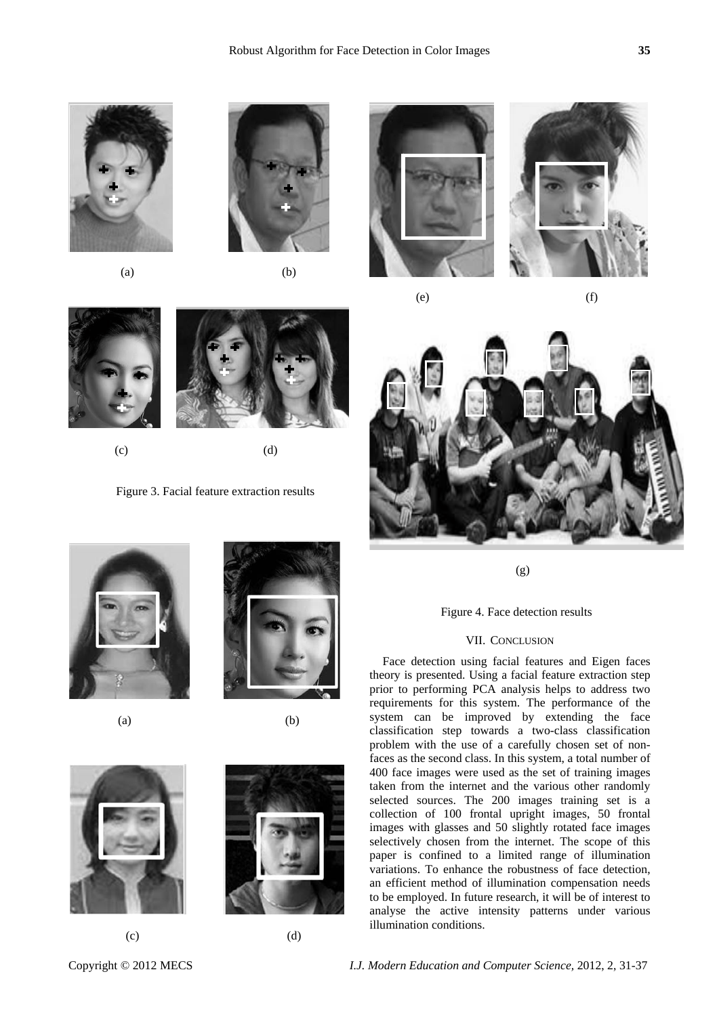



(g)

Figure 4. Face detection results

## VII. CONCLUSION

Face detection using facial features and Eigen faces theory is presented. Using a facial feature extraction step prior to performing PCA analysis helps to address two requirements for this system. The performance of the system can be improved by extending the face classification step towards a two-class classification problem with the use of a carefully chosen set of nonfaces as the second class. In this system, a total number of 400 face images were used as the set of training images taken from the internet and the various other randomly selected sources. The 200 images training set is a collection of 100 frontal upright images, 50 frontal images with glasses and 50 slightly rotated face images selectively chosen from the internet. The scope of this paper is confined to a limited range of illumination variations. To enhance the robustness of face detection, an efficient method of illumination compensation needs to be employed. In future research, it will be of interest to analyse the active intensity patterns under various illumination conditions.



 $(c)$  (d)

Figure 3. Facial feature extraction results



 $(a)$  (b)



 $(c)$  (d)

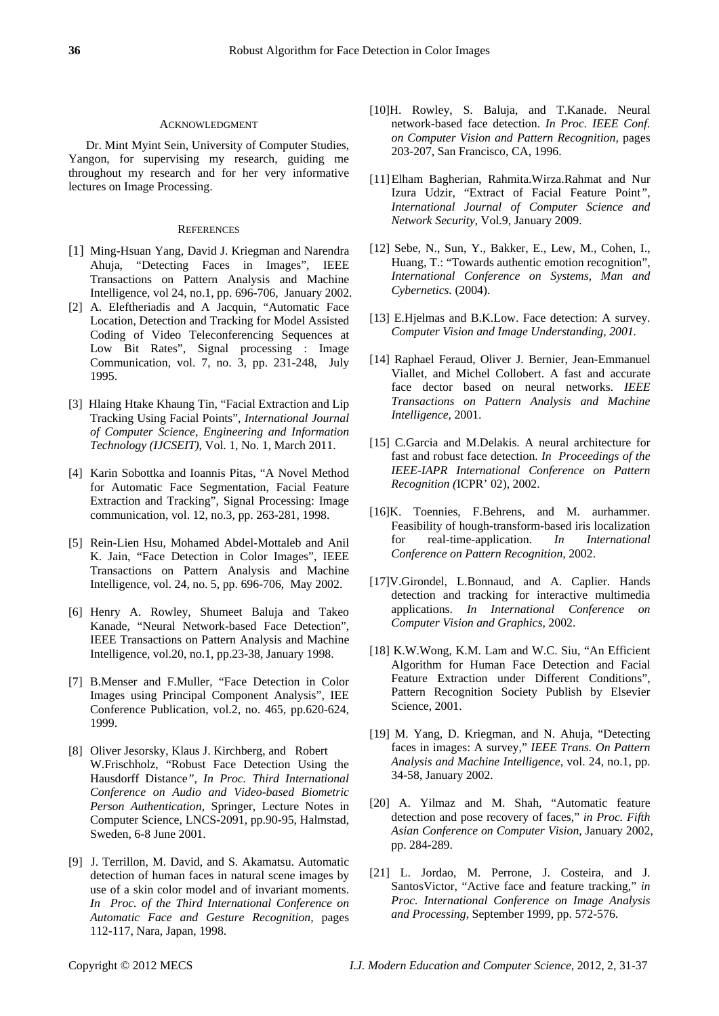#### ACKNOWLEDGMENT

Dr. Mint Myint Sein, University of Computer Studies, Yangon, for supervising my research, guiding me throughout my research and for her very informative lectures on Image Processing.

#### **REFERENCES**

- [1] Ming-Hsuan Yang, David J. Kriegman and Narendra Ahuja, "Detecting Faces in Images", IEEE Transactions on Pattern Analysis and Machine Intelligence, vol 24, no.1, pp. 696-706, January 2002.
- [2] A. Eleftheriadis and A Jacquin, "Automatic Face Location, Detection and Tracking for Model Assisted Coding of Video Teleconferencing Sequences at Low Bit Rates", Signal processing : Image Communication, vol. 7, no. 3, pp. 231-248, July 1995.
- [3] Hlaing Htake Khaung Tin, "Facial Extraction and Lip Tracking Using Facial Points", *International Journal of Computer Science, Engineering and Information Technology (IJCSEIT)*, Vol. 1, No. 1, March 2011.
- [4] Karin Sobottka and Ioannis Pitas, "A Novel Method for Automatic Face Segmentation, Facial Feature Extraction and Tracking", Signal Processing: Image communication, vol. 12, no.3, pp. 263-281, 1998.
- [5] Rein-Lien Hsu, Mohamed Abdel-Mottaleb and Anil K. Jain, "Face Detection in Color Images", IEEE Transactions on Pattern Analysis and Machine Intelligence, vol. 24, no. 5, pp. 696-706, May 2002.
- [6] Henry A. Rowley, Shumeet Baluja and Takeo Kanade, "Neural Network-based Face Detection", IEEE Transactions on Pattern Analysis and Machine Intelligence, vol.20, no.1, pp.23-38, January 1998.
- [7] B.Menser and F.Muller, "Face Detection in Color Images using Principal Component Analysis", IEE Conference Publication, vol.2, no. 465, pp.620-624, 1999.
- [8] Oliver Jesorsky, Klaus J. Kirchberg, and Robert W.Frischholz, "Robust Face Detection Using the Hausdorff Distance*", In Proc. Third International Conference on Audio and Video-based Biometric Person Authentication,* Springer, Lecture Notes in Computer Science, LNCS-2091, pp.90-95, Halmstad, Sweden, 6-8 June 2001.
- [9] J. Terrillon, M. David, and S. Akamatsu. Automatic detection of human faces in natural scene images by use of a skin color model and of invariant moments. *In Proc. of the Third International Conference on Automatic Face and Gesture Recognition,* pages 112-117, Nara, Japan, 1998.
- [10]H. Rowley, S. Baluja, and T.Kanade. Neural network-based face detection. *In Proc. IEEE Conf. on Computer Vision and Pattern Recognition,* pages 203-207, San Francisco, CA, 1996.
- [11] Elham Bagherian, Rahmita.Wirza.Rahmat and Nur Izura Udzir, "Extract of Facial Feature Point*", International Journal of Computer Science and Network Security,* Vol.9, January 2009.
- [12] Sebe, N., Sun, Y., Bakker, E., Lew, M., Cohen, I., Huang, T.: "Towards authentic emotion recognition", *International Conference on Systems, Man and Cybernetics.* (2004).
- [13] E.Hjelmas and B.K.Low. Face detection: A survey. *Computer Vision and Image Understanding, 2001.*
- [14] Raphael Feraud, Oliver J. Bernier, Jean-Emmanuel Viallet, and Michel Collobert. A fast and accurate face dector based on neural networks. *IEEE Transactions on Pattern Analysis and Machine Intelligence,* 2001.
- [15] C.Garcia and M.Delakis. A neural architecture for fast and robust face detection. *In Proceedings of the IEEE-IAPR International Conference on Pattern Recognition (*ICPR' 02), 2002.
- [16]K. Toennies, F.Behrens, and M. aurhammer. Feasibility of hough-transform-based iris localization for real-time-application. *In International Conference on Pattern Recognition,* 2002.
- [17]V.Girondel, L.Bonnaud, and A. Caplier. Hands detection and tracking for interactive multimedia applications. *In International Conference on Computer Vision and Graphics*, 2002.
- [18] K.W.Wong, K.M. Lam and W.C. Siu, "An Efficient Algorithm for Human Face Detection and Facial Feature Extraction under Different Conditions", Pattern Recognition Society Publish by Elsevier Science, 2001.
- [19] M. Yang, D. Kriegman, and N. Ahuja, "Detecting faces in images: A survey," *IEEE Trans. On Pattern Analysis and Machine Intelligence*, vol. 24, no.1, pp. 34-58, January 2002.
- [20] A. Yilmaz and M. Shah, "Automatic feature detection and pose recovery of faces," *in Proc. Fifth Asian Conference on Computer Vision,* January 2002, pp. 284-289.
- [21] L. Jordao, M. Perrone, J. Costeira, and J. SantosVictor, "Active face and feature tracking," *in Proc. International Conference on Image Analysis and Processing*, September 1999, pp. 572-576.